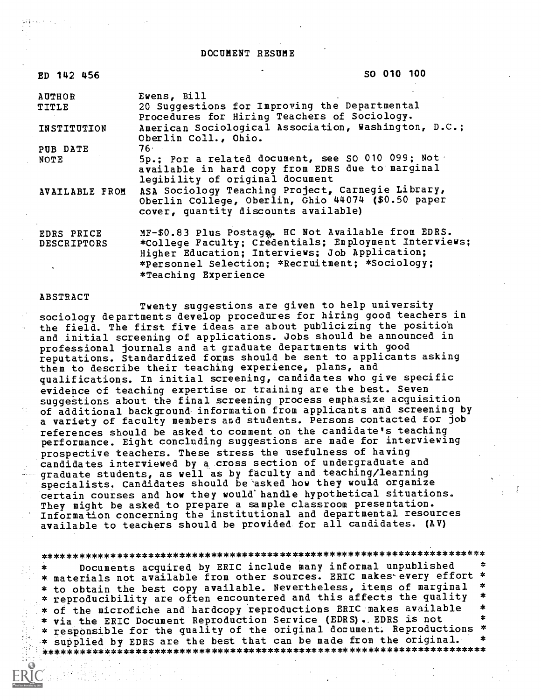DOCUMENT RESUME

 $SO(2)$ 

| ED 142 456         | <b>SO 010 100</b>                                                                                      |
|--------------------|--------------------------------------------------------------------------------------------------------|
| <b>AUTHOR</b>      | Ewens, Bill                                                                                            |
| TITLE              | 20 Suggestions for Improving the Departmental<br>Procedures for Hiring Teachers of Sociology.          |
| INSTITUTION        | American Sociological Association, Washington, D.C.;<br>Oberlin Coll., Ohio.                           |
| PUB DATE           | 76 ·                                                                                                   |
| NOTE               | 5p.; For a related document, see SO 010 099; Not .<br>available in hard copy from EDRS due to marginal |
|                    | legibility of original document                                                                        |
| AVAILABLE FROM     | ASA Sociology Teaching Project, Carnegie Library,                                                      |
|                    | Oberlin College, Oberlin, Ghio 44074 (\$0.50 paper                                                     |
|                    | cover, quantity discounts available)                                                                   |
| EDRS PRICE         | MF-\$0.83 Plus Postage. HC Not Available from EDRS.                                                    |
| <b>DESCRIPTORS</b> | *College Faculty; Credentials; Employment Interviews;                                                  |
|                    | Higher Education; Interviews; Job Application;                                                         |
|                    | *Personnel Selection; *Recruitment; *Sociology;                                                        |

\*Teaching Experience

## ABSTRACT

Twenty suggestions are given to help university sociology departments develop procedures for hiring good teachers in the field. The first five ideas are about publicizing the position and initial screening of applications. Jobs should be announced in professional journals and at graduate departments with good reputations. Standardized forms should be sent to applicants asking them to describe their teaching experience, plans, and qualifications. In initial screening, candidates who give specific evidence of teaching expertise or training are the best. Seven suggestions about the final screening process emphasize acquisition of additional background information from applicants and screening by a variety of faculty members and students. Persons contacted for job references should be asked to comment on the candidate's teaching performance. Eight concluding suggestions are made for interviewing prospective teachers. These stress the usefulness of having candidates interviewed by a cross section of undergraduate and graduate students, as well as by faculty and teaching/learning specialists. Candidates should be asked how they would organize certain courses and how they would' handle hypothetical situations. They might be asked to prepare a sample classroom presentation. Information concerning the institutional and departmental resources available to teachers should be provided for all candidates. (AV)

## \*\*\*\*\*\*\*\*\*\*\*\*\*\*\*\*\*\*\*\*\*\*\*\*\*\*\*\*\*\*\*\*\*\*\*\*\*\*\*\*\*\*\*\*\*\*\*\*\*\*\*\*\*\*\*\*\*\*\*\*\*\*\*\*\*\*\*\*\*\*\*

Documents acquired by ERIC include many informal unpublished \* materials not available from other sources. ERIC makes'every effort \* \* to obtain the best copy available. Nevertheless, items of marginal<br>\* reproducibility are often encountered and this affects the quality \* of the microfiche and hardcopy reproductions ERIC makes available \* \* via the ERIC Document Reproduction Service (EDRS). EDRS is not \* \* responsible for the quality of the original document. Reproductions \* .\* supplied by EDRS are the best that can be made from the original. \* \*\*\*\*\*\*\*\*\*\*\*\*\*\*\*\*\*\*\*\*\*\*\*\*\*\*\*\*\*\*\*\*\*\*\*\*\*\*\*\*\*\*\*\*\*\*\*\*\*\*\*\*\*\*\*\*\*\*\*\*\*\*\*\*\*\*\*\*\*\*\*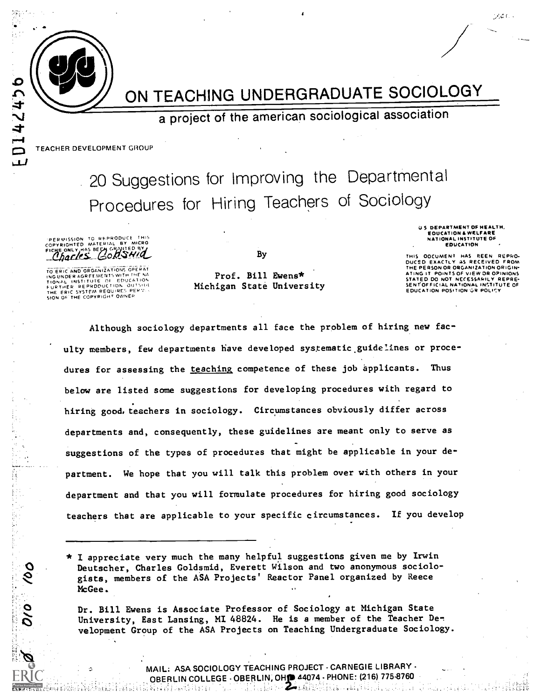ON TEACHING UNDERGRADUATE SOCIOLOGY

a project of the american sociological association

TEACHER DEVELOPMENT GROUP

0142456

 $\mathbf{L}$ 

 $\delta$ 

20 Suggestions for Improving the Departmental Procedures for Hiring Teachers of Sociology

PERMISSION TO REPRODUCE THIS<br>COPYRIGHTED MATERIAL BY MICRO<br>FICHE ONLY HAS BEEN GRAVITED BY

TO ERIC AND ORGANIZATIONS COERAT<br>INGUNDER AGREEMENTS WITH THE NA<br>TIONAL INSTITUTE OF EDUCATION<br>FURTHER REPRODUCTION OUTSIUS<br>THE ERIC SYSTEM REQUIRES PERSON<br>SION OF THE COPYRIGHT OWNER

Prof. Bill Ewens\* Michigan State University

By

**EDUCATION** THIS OOCUMENT HAS REEN REPRO-D EXACTLY AS RECEIVED

U.S. DEPARTMENT OF HEALTH. EQUICATION & WELFARE

060 C

HE PERSON OR ORGANIZATION ORIGIN-POINTS OF VIEW OR OPINIONS STATED DO NOT NECESSARILY REPRESENT OF FLORIDAL INSTITUTE OF EDUCATION POSITION OR POLICY

Although sociology departments all face the problem of hiring new faculty members, few departments have developed systematic guidelines or procedures for assessing the teaching competence of these job applicants. Thus below are listed some suggestions for developing procedures with regard to hiring good, teachers in sociology. Circumstances obviously differ across departments and, consequently, these guidelines are meant only to serve as suggestions of the types of procedures that might be applicable in your department. We hope that you will talk this problem over with others in your department and that you will formulate procedures for hiring good sociology teachers that are applicable to your specific circumstances. If you develop

\* I appreciate very much the many helpful suggestions given me by Irwin Deutscher, Charles Goldsmid, Everett Wilson and two anonymous sociologists, members of the ASA Projects' Reactor Panel organized by Reece McGee.

Dr. Bill Ewens is Associate Professor of Sociology at Michigan State University, East Lansing, MI 48824. He is a member of the Teacher Development Group of the ASA Projects on Teaching Undergraduate Sociology.

> MAIL: ASA SOCIOLOGY TEACHING PROJECT - CARNEGIE LIBRARY -OBERLIN COLLEGE - OBERLIN, OHD 44074 - PHONE: (216) 775-8760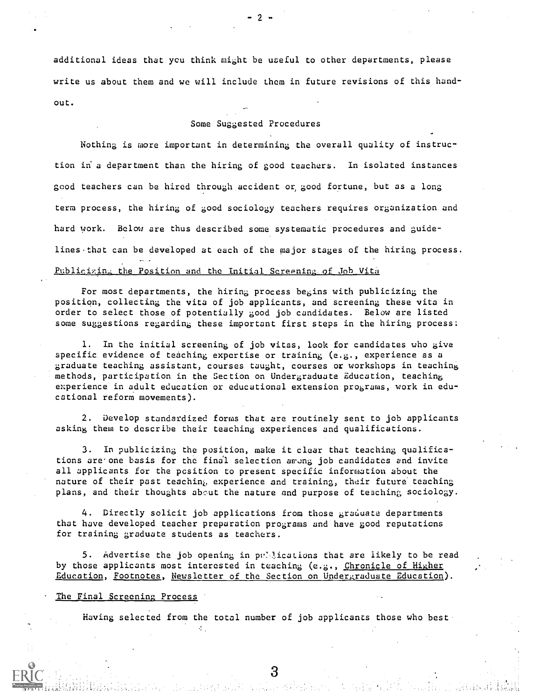additional ideas that you think might be useful to other departments, please write us about them and we will include them in future revisions of this handout.

 $-2$   $-$ 

## Some Suggested Procedures

Nothing is more important in determining the overall quality of instruction in a department than the hiring of good teachers. In isolated instances good teachers can be hired through accident or good fortune, but as a long term process, the hiring of good sociology teachers requires organization and hard work. Below are thus described some systematic procedures and guidelines that can be developed at each of the major stages of the hiring process. Publicizing the Position and the Initial Screening of Job Vita

For most departments, the hiring process begins with publicizing the position, collecting the vita of job applicants, and screening these vita in order to select those of potentially good job candidates. Below are listed some suggestions regarding these important first steps in the hiring process:

1. In the initial screening of job vitas, look for candidates who give specific evidence of teaching expertise or training (e.g., experience as a graduate teaching assistant, courses taught, courses or workshops in teaching methods, participation in the Section on Undergraduate Education, teaching experience in adult education or educational extension programs, work in educational reform movements).

2. Develop standardized forms that are routinely sent to job applicants asking them to describe their teaching experiences and qualifications.

3. In publicizing the position, make it clear that teaching qualifications are one basis for the final selection among job candidates and invite all applicants for the position to present specific information about the nature of their past teaching experience and training, their future' teaching plans, and their thoughts about the nature and purpose of teaching sociology.

4. Directly solicit job applications from those graduate departments that have developed teacher preparation programs and have good reputaticns for training graduate students as teachers.

5. Advertise the job opening in publications that are likely to be read by those applicants most interested in teaching (e.g., Chronicle of Higher Education, Footnotes, Newsletter of the Section on Undergraduate Education).

The Final Screening Process

Having selected from the total number of job applicants those who best

 $\mathcal{L}_{\mathcal{L}}$  .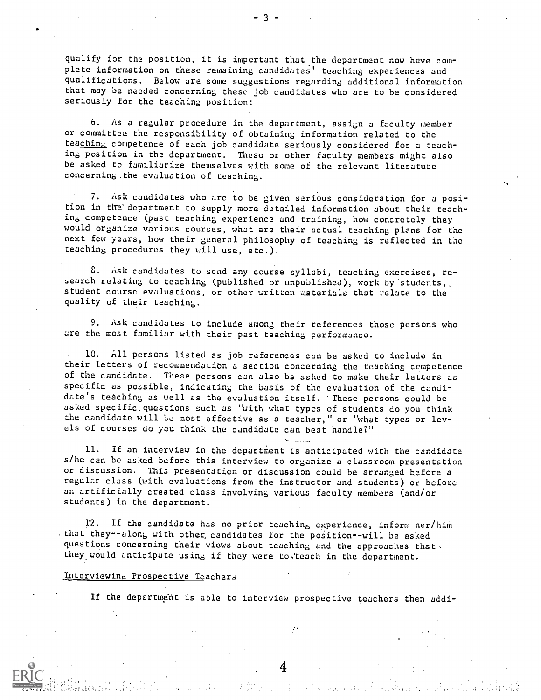qualify for the position, it is important that.the department now have complete information on these remaining candidates' teaching experiences and qualifications. Below are some suggestions regarding additional information that may be needed concerning these job candidates who are to be considered seriously for the teaching position:

6. As a regular procedure in the department, assign a faculty member or committee the responsibility of obtaining information related to the teaching competence of each job candidate seriously considered for a teaching position in the department. These or other faculty members might also be asked to familiarize themselves with some of the relevant literature concerning.the evaluation of teaching.

7. Ask candidates who are to be given serious consideration for a position in the department to supply more detailed information about their teaching competence (past teaching experience and training, how concretely they would organize various courses, what are their actual teaching plans for the next few years, how their general philosophy of teaching is reflected in the teaching procedures they will use, etc.).

C. Ask candidates to send any course syllabi, teaching exercises, re search relating to teaching (published or unpublished), work by 'students student course evaluations, or other written materials that relate to the quality of their teaching.

9. Ask candidates to include among their references those persons who are the most familiar with their past teaching performance.

10. All persons listed as job references can be asked to include in their letters of recommendatibn a section concerning the teaching competence of the candidate. These persons can also be asked to make their letters as specific as possible, indicating the basis of the evaluation of the candidate's teaching as well as the evaluation itself. 'These persons could be asked specific.questions such as "with what types of students do you think the candidate will be most effective as a teacher," or "what types or levels of courses do you think the candidate can best handle?"

11. If an interview in the department is anticipated with the candidate s/he can be asked before this interview to organize a classroom presentation or discussion. This presentation or discussion could be arranged before <sup>a</sup> regular class (with evaluations from the instructor and students) or before an artificially created class involving various faculty members (and/or students) in the department.

12. If the candidate has no prior teaching experience, inform her/him . that they--along with other candidates for the position--will be asked questions concerning their views about teaching and the approaches that. they would anticipate using if they were to teach in the department.

## Interviewing Prospective Teachers

If the department is able to interview prospective teachers then addi-

 $\boldsymbol{4}$ 

 $-3 -$